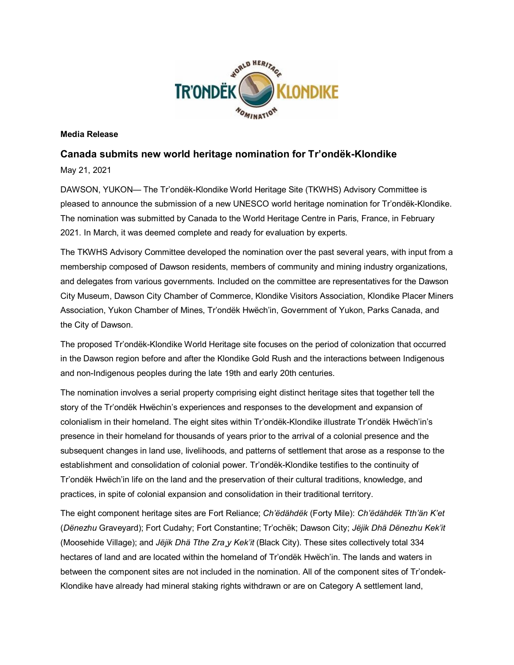

#### **Media Release**

#### **Canada submits new world heritage nomination for Tr'ondëk-Klondike**

May 21, 2021

DAWSON, YUKON— The Tr'ondëk-Klondike World Heritage Site (TKWHS) Advisory Committee is pleased to announce the submission of a new UNESCO world heritage nomination for Tr'ondëk-Klondike. The nomination was submitted by Canada to the World Heritage Centre in Paris, France, in February 2021. In March, it was deemed complete and ready for evaluation by experts.

The TKWHS Advisory Committee developed the nomination over the past several years, with input from a membership composed of Dawson residents, members of community and mining industry organizations, and delegates from various governments. Included on the committee are representatives for the Dawson City Museum, Dawson City Chamber of Commerce, Klondike Visitors Association, Klondike Placer Miners Association, Yukon Chamber of Mines, Tr'ondëk Hwëch'in, Government of Yukon, Parks Canada, and the City of Dawson.

The proposed Tr'ondëk-Klondike World Heritage site focuses on the period of colonization that occurred in the Dawson region before and after the Klondike Gold Rush and the interactions between Indigenous and non-Indigenous peoples during the late 19th and early 20th centuries.

The nomination involves a serial property comprising eight distinct heritage sites that together tell the story of the Tr'ondëk Hwëchin's experiences and responses to the development and expansion of colonialism in their homeland. The eight sites within Tr'ondëk-Klondike illustrate Tr'ondëk Hwëch'in's presence in their homeland for thousands of years prior to the arrival of a colonial presence and the subsequent changes in land use, livelihoods, and patterns of settlement that arose as a response to the establishment and consolidation of colonial power. Tr'ondëk-Klondike testifies to the continuity of Tr'ondëk Hwëch'in life on the land and the preservation of their cultural traditions, knowledge, and practices, in spite of colonial expansion and consolidation in their traditional territory.

The eight component heritage sites are Fort Reliance; *Ch'ëdähdëk* (Forty Mile): *Ch'ëdähdëk Tth'än K'et* (*Dënezhu* Graveyard); Fort Cudahy; Fort Constantine; Tr'ochëk; Dawson City; *Jëjik Dhä Dënezhu Kek'it* (Moosehide Village); and *Jëjik Dhä Tthe Zra¸y Kek'it* (Black City). These sites collectively total 334 hectares of land and are located within the homeland of Tr'ondëk Hwëch'in. The lands and waters in between the component sites are not included in the nomination. All of the component sites of Tr'ondek-Klondike have already had mineral staking rights withdrawn or are on Category A settlement land,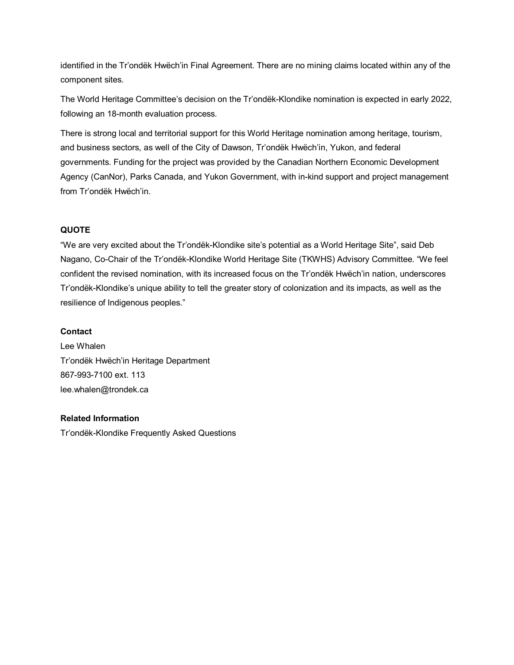identified in the Tr'ondëk Hwëch'in Final Agreement. There are no mining claims located within any of the component sites.

The World Heritage Committee's decision on the Tr'ondëk-Klondike nomination is expected in early 2022, following an 18-month evaluation process.

There is strong local and territorial support for this World Heritage nomination among heritage, tourism, and business sectors, as well of the City of Dawson, Tr'ondëk Hwëch'in, Yukon, and federal governments. Funding for the project was provided by the Canadian Northern Economic Development Agency (CanNor), Parks Canada, and Yukon Government, with in-kind support and project management from Tr'ondëk Hwëch'in.

#### **QUOTE**

"We are very excited about the Tr'ondëk-Klondike site's potential as a World Heritage Site", said Deb Nagano, Co-Chair of the Tr'ondëk-Klondike World Heritage Site (TKWHS) Advisory Committee. "We feel confident the revised nomination, with its increased focus on the Tr'ondëk Hwëch'in nation, underscores Tr'ondëk-Klondike's unique ability to tell the greater story of colonization and its impacts, as well as the resilience of Indigenous peoples."

#### **Contact**

Lee Whalen Tr'ondëk Hwëch'in Heritage Department 867-993-7100 ext. 113 lee.whalen@trondek.ca

#### **Related Information**

Tr'ondëk-Klondike Frequently Asked Questions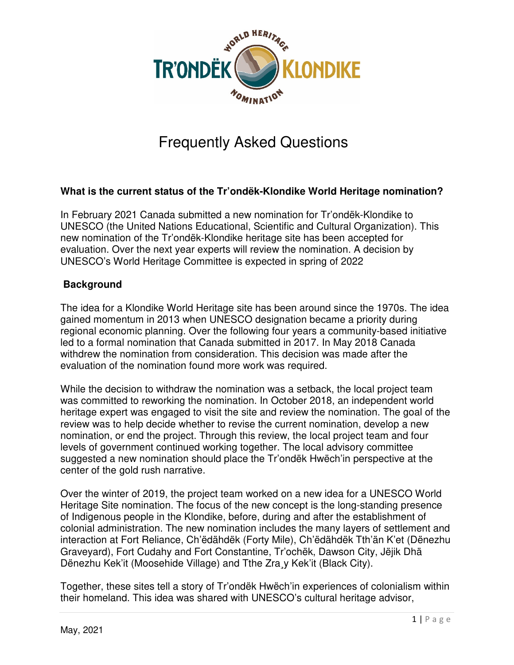

# Frequently Asked Questions

# **What is the current status of the Tr'ondëk-Klondike World Heritage nomination?**

In February 2021 Canada submitted a new nomination for Tr'ondëk-Klondike to UNESCO (the United Nations Educational, Scientific and Cultural Organization). This new nomination of the Tr'ondëk-Klondike heritage site has been accepted for evaluation. Over the next year experts will review the nomination. A decision by UNESCO's World Heritage Committee is expected in spring of 2022

# **Background**

The idea for a Klondike World Heritage site has been around since the 1970s. The idea gained momentum in 2013 when UNESCO designation became a priority during regional economic planning. Over the following four years a community-based initiative led to a formal nomination that Canada submitted in 2017. In May 2018 Canada withdrew the nomination from consideration. This decision was made after the evaluation of the nomination found more work was required.

While the decision to withdraw the nomination was a setback, the local project team was committed to reworking the nomination. In October 2018, an independent world heritage expert was engaged to visit the site and review the nomination. The goal of the review was to help decide whether to revise the current nomination, develop a new nomination, or end the project. Through this review, the local project team and four levels of government continued working together. The local advisory committee suggested a new nomination should place the Tr'ondëk Hwëch'in perspective at the center of the gold rush narrative.

Over the winter of 2019, the project team worked on a new idea for a UNESCO World Heritage Site nomination. The focus of the new concept is the long-standing presence of Indigenous people in the Klondike, before, during and after the establishment of colonial administration. The new nomination includes the many layers of settlement and interaction at Fort Reliance, Ch'ëdähdëk (Forty Mile), Ch'ëdähdëk Tth'än K'et (Dënezhu Graveyard), Fort Cudahy and Fort Constantine, Tr'ochëk, Dawson City, Jëjik Dhä Dënezhu Kek'it (Moosehide Village) and Tthe Zra¸y Kek'it (Black City).

Together, these sites tell a story of Tr'ondëk Hwëch'in experiences of colonialism within their homeland. This idea was shared with UNESCO's cultural heritage advisor,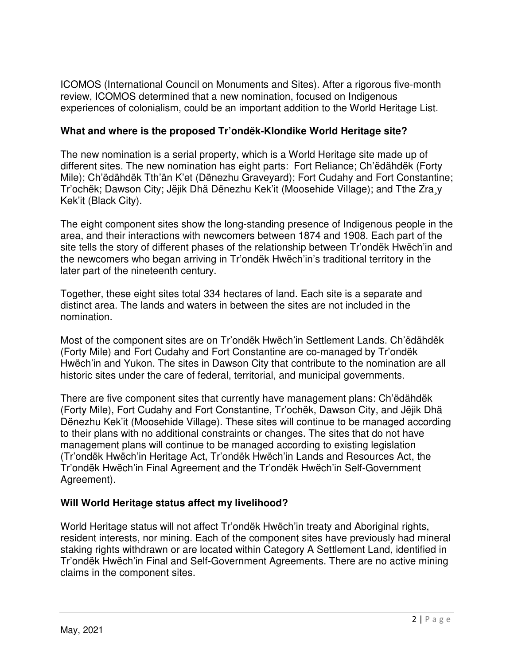ICOMOS (International Council on Monuments and Sites). After a rigorous five-month review, ICOMOS determined that a new nomination, focused on Indigenous experiences of colonialism, could be an important addition to the World Heritage List.

# **What and where is the proposed Tr'ondëk-Klondike World Heritage site?**

The new nomination is a serial property, which is a World Heritage site made up of different sites. The new nomination has eight parts: Fort Reliance; Ch'ëdähdëk (Forty Mile); Ch'ëdähdëk Tth'än K'et (Dënezhu Graveyard); Fort Cudahy and Fort Constantine; Tr'ochëk; Dawson City; Jëjik Dhä Dënezhu Kek'it (Moosehide Village); and Tthe Zra¸y Kek'it (Black City).

The eight component sites show the long-standing presence of Indigenous people in the area, and their interactions with newcomers between 1874 and 1908. Each part of the site tells the story of different phases of the relationship between Tr'ondëk Hwëch'in and the newcomers who began arriving in Tr'ondëk Hwëch'in's traditional territory in the later part of the nineteenth century.

Together, these eight sites total 334 hectares of land. Each site is a separate and distinct area. The lands and waters in between the sites are not included in the nomination.

Most of the component sites are on Tr'ondëk Hwëch'in Settlement Lands. Ch'ëdähdëk (Forty Mile) and Fort Cudahy and Fort Constantine are co-managed by Tr'ondëk Hwëch'in and Yukon. The sites in Dawson City that contribute to the nomination are all historic sites under the care of federal, territorial, and municipal governments.

There are five component sites that currently have management plans: Ch'ëdähdëk (Forty Mile), Fort Cudahy and Fort Constantine, Tr'ochëk, Dawson City, and Jëjik Dhä Dënezhu Kek'it (Moosehide Village). These sites will continue to be managed according to their plans with no additional constraints or changes. The sites that do not have management plans will continue to be managed according to existing legislation (Tr'ondëk Hwëch'in Heritage Act, Tr'ondëk Hwëch'in Lands and Resources Act, the Tr'ondëk Hwëch'in Final Agreement and the Tr'ondëk Hwëch'in Self-Government Agreement).

# **Will World Heritage status affect my livelihood?**

World Heritage status will not affect Tr'ondëk Hwëch'in treaty and Aboriginal rights, resident interests, nor mining. Each of the component sites have previously had mineral staking rights withdrawn or are located within Category A Settlement Land, identified in Tr'ondëk Hwëch'in Final and Self-Government Agreements. There are no active mining claims in the component sites.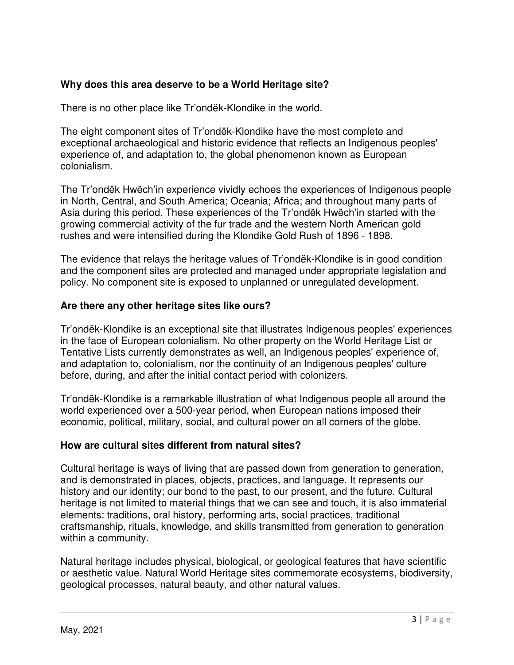## **Why does this area deserve to be a World Heritage site?**

There is no other place like Tr'ondëk-Klondike in the world.

The eight component sites of Tr'ondëk-Klondike have the most complete and exceptional archaeological and historic evidence that reflects an Indigenous peoples' experience of, and adaptation to, the global phenomenon known as European colonialism.

The Tr'ondëk Hwëch'in experience vividly echoes the experiences of Indigenous people in North, Central, and South America; Oceania; Africa; and throughout many parts of Asia during this period. These experiences of the Tr'ondëk Hwëch'in started with the growing commercial activity of the fur trade and the western North American gold rushes and were intensified during the Klondike Gold Rush of 1896 - 1898.

The evidence that relays the heritage values of Tr'ondëk-Klondike is in good condition and the component sites are protected and managed under appropriate legislation and policy. No component site is exposed to unplanned or unregulated development.

#### **Are there any other heritage sites like ours?**

Tr'ondëk-Klondike is an exceptional site that illustrates Indigenous peoples' experiences in the face of European colonialism. No other property on the World Heritage List or Tentative Lists currently demonstrates as well, an Indigenous peoples' experience of, and adaptation to, colonialism, nor the continuity of an Indigenous peoples' culture before, during, and after the initial contact period with colonizers.

Tr'ondëk-Klondike is a remarkable illustration of what Indigenous people all around the world experienced over a 500-year period, when European nations imposed their economic, political, military, social, and cultural power on all corners of the globe.

#### **How are cultural sites different from natural sites?**

Cultural heritage is ways of living that are passed down from generation to generation, and is demonstrated in places, objects, practices, and language. It represents our history and our identity; our bond to the past, to our present, and the future. Cultural heritage is not limited to material things that we can see and touch, it is also immaterial elements: traditions, oral history, performing arts, social practices, traditional craftsmanship, rituals, knowledge, and skills transmitted from generation to generation within a community.

Natural heritage includes physical, biological, or geological features that have scientific or aesthetic value. Natural World Heritage sites commemorate ecosystems, biodiversity, geological processes, natural beauty, and other natural values.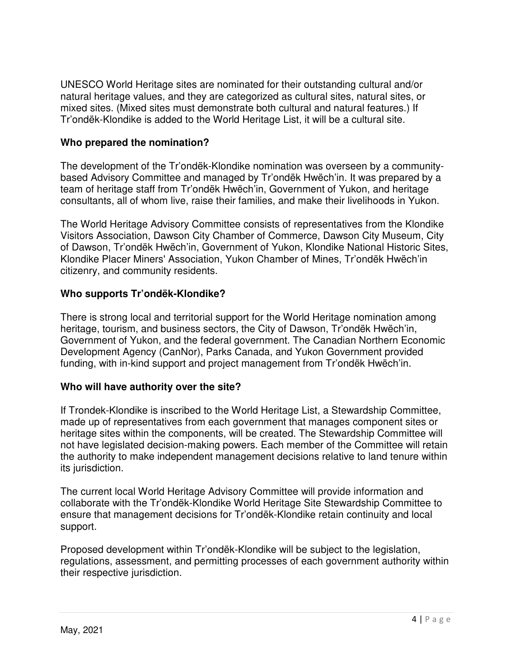UNESCO World Heritage sites are nominated for their outstanding cultural and/or natural heritage values, and they are categorized as cultural sites, natural sites, or mixed sites. (Mixed sites must demonstrate both cultural and natural features.) If Tr'ondëk-Klondike is added to the World Heritage List, it will be a cultural site.

## **Who prepared the nomination?**

The development of the Tr'ondëk-Klondike nomination was overseen by a communitybased Advisory Committee and managed by Tr'ondëk Hwëch'in. It was prepared by a team of heritage staff from Tr'ondëk Hwëch'in, Government of Yukon, and heritage consultants, all of whom live, raise their families, and make their livelihoods in Yukon.

The World Heritage Advisory Committee consists of representatives from the Klondike Visitors Association, Dawson City Chamber of Commerce, Dawson City Museum, City of Dawson, Tr'ondëk Hwëch'in, Government of Yukon, Klondike National Historic Sites, Klondike Placer Miners' Association, Yukon Chamber of Mines, Tr'ondëk Hwëch'in citizenry, and community residents.

## **Who supports Tr'ondëk-Klondike?**

There is strong local and territorial support for the World Heritage nomination among heritage, tourism, and business sectors, the City of Dawson, Tr'ondëk Hwëch'in, Government of Yukon, and the federal government. The Canadian Northern Economic Development Agency (CanNor), Parks Canada, and Yukon Government provided funding, with in-kind support and project management from Tr'ondëk Hwëch'in.

## **Who will have authority over the site?**

If Trondek-Klondike is inscribed to the World Heritage List, a Stewardship Committee, made up of representatives from each government that manages component sites or heritage sites within the components, will be created. The Stewardship Committee will not have legislated decision-making powers. Each member of the Committee will retain the authority to make independent management decisions relative to land tenure within its jurisdiction.

The current local World Heritage Advisory Committee will provide information and collaborate with the Tr'ondëk-Klondike World Heritage Site Stewardship Committee to ensure that management decisions for Tr'ondëk-Klondike retain continuity and local support.

Proposed development within Tr'ondëk-Klondike will be subject to the legislation, regulations, assessment, and permitting processes of each government authority within their respective jurisdiction.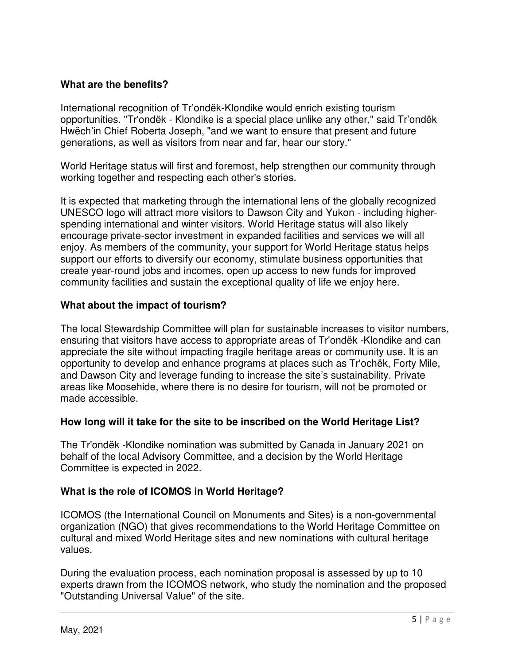## **What are the benefits?**

International recognition of Tr'ondëk-Klondike would enrich existing tourism opportunities. "Tr'ondëk - Klondike is a special place unlike any other," said Tr'ondëk Hwëch'in Chief Roberta Joseph, "and we want to ensure that present and future generations, as well as visitors from near and far, hear our story."

World Heritage status will first and foremost, help strengthen our community through working together and respecting each other's stories.

It is expected that marketing through the international lens of the globally recognized UNESCO logo will attract more visitors to Dawson City and Yukon - including higherspending international and winter visitors. World Heritage status will also likely encourage private-sector investment in expanded facilities and services we will all enjoy. As members of the community, your support for World Heritage status helps support our efforts to diversify our economy, stimulate business opportunities that create year-round jobs and incomes, open up access to new funds for improved community facilities and sustain the exceptional quality of life we enjoy here.

## **What about the impact of tourism?**

The local Stewardship Committee will plan for sustainable increases to visitor numbers, ensuring that visitors have access to appropriate areas of Tr'ondëk -Klondike and can appreciate the site without impacting fragile heritage areas or community use. It is an opportunity to develop and enhance programs at places such as Tr'ochëk, Forty Mile, and Dawson City and leverage funding to increase the site's sustainability. Private areas like Moosehide, where there is no desire for tourism, will not be promoted or made accessible.

## **How long will it take for the site to be inscribed on the World Heritage List?**

The Tr'ondëk -Klondike nomination was submitted by Canada in January 2021 on behalf of the local Advisory Committee, and a decision by the World Heritage Committee is expected in 2022.

## **What is the role of ICOMOS in World Heritage?**

ICOMOS (the International Council on Monuments and Sites) is a non-governmental organization (NGO) that gives recommendations to the World Heritage Committee on cultural and mixed World Heritage sites and new nominations with cultural heritage values.

During the evaluation process, each nomination proposal is assessed by up to 10 experts drawn from the ICOMOS network, who study the nomination and the proposed "Outstanding Universal Value" of the site.